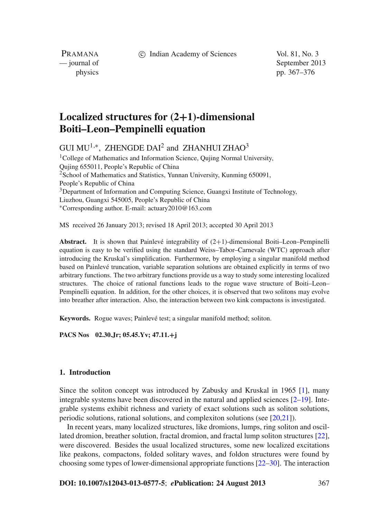c Indian Academy of Sciences Vol. 81, No. 3

PRAMANA

— journal of September 2013 physics pp. 367–376

# **Localized structures for (2+1)-dimensional Boiti–Leon–Pempinelli equation**

GUI MU<sup>1,∗</sup>, ZHENGDE DAI<sup>2</sup> and ZHANHUI ZHAO<sup>3</sup>

<sup>1</sup>College of Mathematics and Information Science, Quiing Normal University, Qujing 655011, People's Republic of China <sup>2</sup>School of Mathematics and Statistics, Yunnan University, Kunming 650091, People's Republic of China <sup>3</sup>Department of Information and Computing Science, Guangxi Institute of Technology, Liuzhou, Guangxi 545005, People's Republic of China <sup>∗</sup>Corresponding author. E-mail: actuary2010@163.com

MS received 26 January 2013; revised 18 April 2013; accepted 30 April 2013

**Abstract.** It is shown that Painlevé integrability of (2+1)-dimensional Boiti–Leon–Pempinelli equation is easy to be verified using the standard Weiss–Tabor–Carnevale (WTC) approach after introducing the Kruskal's simplification. Furthermore, by employing a singular manifold method based on Painlevé truncation, variable separation solutions are obtained explicitly in terms of two arbitrary functions. The two arbitrary functions provide us a way to study some interesting localized structures. The choice of rational functions leads to the rogue wave structure of Boiti–Leon– Pempinelli equation. In addition, for the other choices, it is observed that two solitons may evolve into breather after interaction. Also, the interaction between two kink compactons is investigated.

**Keywords.** Rogue waves; Painlevé test; a singular manifold method; soliton.

**PACS Nos 02.30.Jr; 05.45.Yv; 47.11.+j**

## **1. Introduction**

Since the soliton concept was introduced by Zabusky and Kruskal in 1965 [\[1](#page-8-0)], many integrable systems have been discovered in the natural and applied sciences  $[2-19]$  $[2-19]$ . Integrable systems exhibit richness and variety of exact solutions such as soliton solutions, periodic solutions, rational solutions, and complexiton solutions (see [\[20](#page-9-1)[,21\]](#page-9-2)).

In recent years, many localized structures, like dromions, lumps, ring soliton and oscillated dromion, breather solution, fractal dromion, and fractal lump soliton structures [\[22](#page-9-3)], were discovered. Besides the usual localized structures, some new localized excitations like peakons, compactons, folded solitary waves, and foldon structures were found by choosing some types of lower-dimensional appropriate functions [\[22](#page-9-3)[–30](#page-9-4)]. The interaction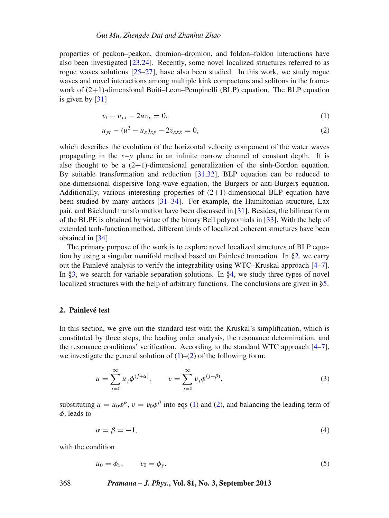properties of peakon–peakon, dromion–dromion, and foldon–foldon interactions have also been investigated [\[23](#page-9-5)[,24\]](#page-9-6). Recently, some novel localized structures referred to as rogue waves solutions  $[25-27]$  $[25-27]$ , have also been studied. In this work, we study rogue waves and novel interactions among multiple kink compactons and solitons in the framework of  $(2+1)$ -dimensional Boiti–Leon–Pempinelli (BLP) equation. The BLP equation is given by [\[31](#page-9-9)]

<span id="page-1-1"></span>
$$
v_t - v_{xx} - 2uv_x = 0, \t\t(1)
$$

$$
u_{yt} - (u^2 - u_x)_{xy} - 2v_{xxx} = 0,
$$
\n(2)

which describes the evolution of the horizontal velocity component of the water waves propagating in the  $x-y$  plane in an infinite narrow channel of constant depth. It is also thought to be a  $(2+1)$ -dimensional generalization of the sinh-Gordon equation. By suitable transformation and reduction [\[31](#page-9-9)[,32](#page-9-10)], BLP equation can be reduced to one-dimensional dispersive long-wave equation, the Burgers or anti-Burgers equation. Additionally, various interesting properties of  $(2+1)$ -dimensional BLP equation have been studied by many authors [\[31](#page-9-9)[–34](#page-9-11)]. For example, the Hamiltonian structure, Lax pair, and Bäcklund transformation have been discussed in [\[31](#page-9-9)]. Besides, the bilinear form of the BLPE is obtained by virtue of the binary Bell polynomials in [\[33](#page-9-12)]. With the help of extended tanh-function method, different kinds of localized coherent structures have been obtained in [\[34](#page-9-11)].

The primary purpose of the work is to explore novel localized structures of BLP equation by using a singular manifold method based on Painlevé truncation. In [§2,](#page-1-0) we carry out the Painlevé analysis to verify the integrability using WTC–Kruskal approach [\[4](#page-8-2)[–7](#page-8-3)]. In [§3,](#page-3-0) we search for variable separation solutions. In [§4,](#page-4-0) we study three types of novel localized structures with the help of arbitrary functions. The conclusions are given in [§5.](#page-8-4)

## <span id="page-1-0"></span>**2. Painlevé test**

In this section, we give out the standard test with the Kruskal's simplification, which is constituted by three steps, the leading order analysis, the resonance determination, and the resonance conditions' verification. According to the standard WTC approach  $[4-7]$  $[4-7]$ , we investigate the general solution of  $(1)$ – $(2)$  of the following form:

<span id="page-1-2"></span>
$$
u = \sum_{j=0}^{\infty} u_j \phi^{(j+\alpha)}, \qquad v = \sum_{j=0}^{\infty} v_j \phi^{(j+\beta)},
$$
 (3)

substituting  $u = u_0 \phi^\alpha$ ,  $v = v_0 \phi^\beta$  into eqs [\(1\)](#page-1-1) and [\(2\)](#page-1-1), and balancing the leading term of  $\phi$ , leads to

$$
\alpha = \beta = -1,\tag{4}
$$

with the condition

<span id="page-1-3"></span>
$$
u_0 = \phi_x, \qquad v_0 = \phi_y. \tag{5}
$$

## 368 *Pramana – J. Phys.***, Vol. 81, No. 3, September 2013**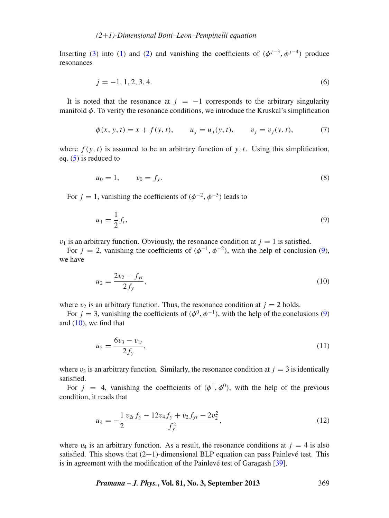Inserting [\(3\)](#page-1-2) into [\(1\)](#page-1-1) and [\(2\)](#page-1-1) and vanishing the coefficients of  $(\phi^{j-3}, \phi^{j-4})$  produce resonances

$$
j = -1, 1, 2, 3, 4.
$$
 (6)

It is noted that the resonance at  $j = -1$  corresponds to the arbitrary singularity manifold  $\phi$ . To verify the resonance conditions, we introduce the Kruskal's simplification

$$
\phi(x, y, t) = x + f(y, t), \qquad u_j = u_j(y, t), \qquad v_j = v_j(y, t), \tag{7}
$$

where  $f(y, t)$  is assumed to be an arbitrary function of y, t. Using this simplification, eq.  $(5)$  is reduced to

$$
u_0 = 1, \qquad v_0 = f_y. \tag{8}
$$

For  $j = 1$ , vanishing the coefficients of  $(\phi^{-2}, \phi^{-3})$  leads to

<span id="page-2-0"></span>
$$
u_1 = \frac{1}{2}f_t,\tag{9}
$$

 $v_1$  is an arbitrary function. Obviously, the resonance condition at  $j = 1$  is satisfied.

For  $j = 2$ , vanishing the coefficients of  $(\phi^{-1}, \phi^{-2})$ , with the help of conclusion [\(9\)](#page-2-0), we have

<span id="page-2-1"></span>
$$
u_2 = \frac{2v_2 - f_{yt}}{2f_y},\tag{10}
$$

where  $v_2$  is an arbitrary function. Thus, the resonance condition at  $j = 2$  holds.

For  $j = 3$ , vanishing the coefficients of  $(\phi^0, \phi^{-1})$ , with the help of the conclusions [\(9\)](#page-2-0) and  $(10)$ , we find that

$$
u_3 = \frac{6v_3 - v_{1t}}{2f_y},\tag{11}
$$

where  $v_3$  is an arbitrary function. Similarly, the resonance condition at  $j = 3$  is identically satisfied.

For  $j = 4$ , vanishing the coefficients of  $(\phi^1, \phi^0)$ , with the help of the previous condition, it reads that

$$
u_4 = -\frac{1}{2} \frac{v_{2t} f_y - 12 v_4 f_y + v_2 f_{yt} - 2v_2^2}{f_y^2},
$$
\n(12)

where  $v_4$  is an arbitrary function. As a result, the resonance conditions at  $j = 4$  is also satisfied. This shows that  $(2+1)$ -dimensional BLP equation can pass Painlevé test. This is in agreement with the modification of the Painlevé test of Garagash [\[39](#page-9-13)].

*Pramana – J. Phys.***, Vol. 81, No. 3, September 2013** 369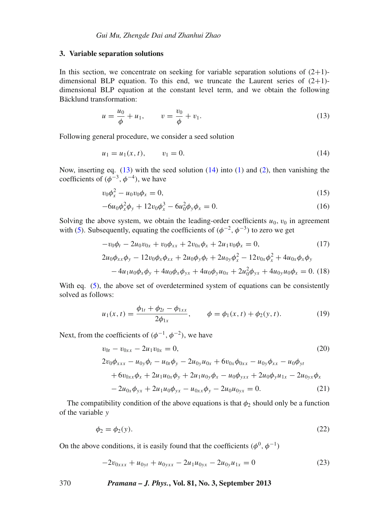## <span id="page-3-0"></span>**3. Variable separation solutions**

In this section, we concentrate on seeking for variable separation solutions of  $(2+1)$ dimensional BLP equation. To this end, we truncate the Laurent series of  $(2+1)$ dimensional BLP equation at the constant level term, and we obtain the following Bäcklund transformation:

<span id="page-3-1"></span>
$$
u = \frac{u_0}{\phi} + u_1, \qquad v = \frac{v_0}{\phi} + v_1.
$$
 (13)

Following general procedure, we consider a seed solution

<span id="page-3-2"></span>
$$
u_1 = u_1(x, t), \qquad v_1 = 0. \tag{14}
$$

Now, inserting eq.  $(13)$  with the seed solution  $(14)$  into  $(1)$  and  $(2)$ , then vanishing the coefficients of  $(\phi^{-3}, \phi^{-4})$ , we have

$$
v_0 \phi_x^2 - u_0 v_0 \phi_x = 0, \tag{15}
$$

$$
-6u_0\phi_x^2\phi_y + 12v_0\phi_x^3 - 6u_0^2\phi_y\phi_x = 0.
$$
 (16)

Solving the above system, we obtain the leading-order coefficients  $u_0, v_0$  in agreement with [\(5\)](#page-1-3). Subsequently, equating the coefficients of  $(\phi^{-2}, \phi^{-3})$  to zero we get

$$
-v_0\phi_t - 2u_0v_{0x} + v_0\phi_{xx} + 2v_{0x}\phi_x + 2u_1v_0\phi_x = 0,
$$
\n(17)  
\n
$$
2u_0\phi_{xx}\phi_y - 12v_0\phi_x\phi_{xx} + 2u_0\phi_y\phi_t + 2u_0_y\phi_x^2 - 12v_{0x}\phi_x^2 + 4u_{0x}\phi_x\phi_y
$$
\n
$$
-4u_1u_0\phi_x\phi_y + 4u_0\phi_x\phi_{yx} + 4u_0\phi_yu_{0x} + 2u_0^2\phi_{yx} + 4u_0yu_0\phi_x = 0.
$$
\n(18)

With eq. [\(5\)](#page-1-3), the above set of overdetermined system of equations can be consistently solved as follows:

$$
u_1(x,t) = \frac{\phi_{1t} + \phi_{2t} - \phi_{1xx}}{2\phi_{1x}}, \qquad \phi = \phi_1(x,t) + \phi_2(y,t). \tag{19}
$$

Next, from the coefficients of  $(\phi^{-1}, \phi^{-2})$ , we have

$$
v_{0t} - v_{0xx} - 2u_1v_{0x} = 0,
$$
\n
$$
(20)
$$
\n
$$
2v_0\phi_{xxx} - u_{0y}\phi_t - u_{0t}\phi_y - 2u_{0y}u_{0x} + 6v_{0x}\phi_{0xx} - u_{0y}\phi_{xx} - u_0\phi_{yt}
$$
\n
$$
+ 6v_{0xx}\phi_x + 2u_1u_{0x}\phi_y + 2u_1u_{0y}\phi_x - u_0\phi_{yxx} + 2u_0\phi_yu_{1x} - 2u_{0yx}\phi_x
$$
\n
$$
- 2u_{0x}\phi_{yx} + 2u_1u_0\phi_{yx} - u_{0xx}\phi_y - 2u_0u_{0yx} = 0.
$$
\n
$$
(21)
$$

The compatibility condition of the above equations is that  $\phi_2$  should only be a function of the variable *y*

$$
\phi_2 = \phi_2(y). \tag{22}
$$

On the above conditions, it is easily found that the coefficients ( $\phi^0$ ,  $\phi^{-1}$ )

$$
-2v_{0xxx} + u_{0yt} + u_{0yxx} - 2u_1u_{0yx} - 2u_{0y}u_{1x} = 0
$$
\n(23)

370 *Pramana – J. Phys.***, Vol. 81, No. 3, September 2013**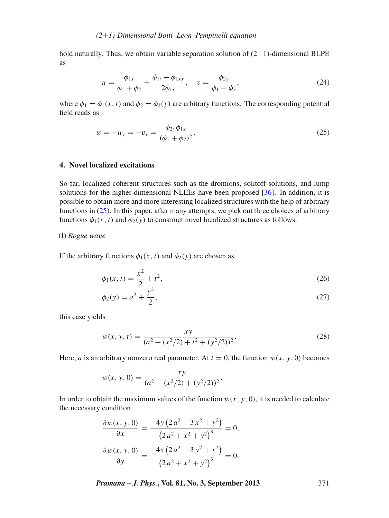hold naturally. Thus, we obtain variable separation solution of  $(2+1)$ -dimensional BLPE as

<span id="page-4-3"></span>
$$
u = \frac{\phi_{1x}}{\phi_1 + \phi_2} + \frac{\phi_{1t} - \phi_{1xx}}{2\phi_{1x}}, \quad v = \frac{\phi_{2y}}{\phi_1 + \phi_2},
$$
(24)

where  $\phi_1 = \phi_1(x, t)$  and  $\phi_2 = \phi_2(y)$  are arbitrary functions. The corresponding potential field reads as

<span id="page-4-1"></span>
$$
w = -u_y = -v_x = \frac{\phi_{2y}\phi_{1x}}{(\phi_1 + \phi_2)^2}.
$$
\n(25)

## <span id="page-4-0"></span>**4. Novel localized excitations**

So far, localized coherent structures such as the dromions, solitoff solutions, and lump solutions for the higher-dimensional NLEEs have been proposed [\[36](#page-9-14)]. In addition, it is possible to obtain more and more interesting localized structures with the help of arbitrary functions in  $(25)$ . In this paper, after many attempts, we pick out three choices of arbitrary functions  $\phi_1(x, t)$  and  $\phi_2(y)$  to construct novel localized structures as follows.

## (I) *Rogue wa*v*e*

If the arbitrary functions  $\phi_1(x, t)$  and  $\phi_2(y)$  are chosen as

$$
\phi_1(x,t) = \frac{x^2}{2} + t^2,\tag{26}
$$

$$
\phi_2(y) = a^2 + \frac{y^2}{2},\tag{27}
$$

this case yields

<span id="page-4-2"></span>
$$
w(x, y, t) = \frac{xy}{(a^2 + (x^2/2) + t^2 + (y^2/2))^2}.
$$
 (28)

Here, *a* is an arbitrary nonzero real parameter. At  $t = 0$ , the function  $w(x, y, 0)$  becomes

$$
w(x, y, 0) = \frac{xy}{(a^2 + (x^2/2) + (y^2/2))^2}.
$$

In order to obtain the maximum values of the function  $w(x, y, 0)$ , it is needed to calculate the necessary condition

$$
\frac{\partial w(x, y, 0)}{\partial x} = \frac{-4y(2a^2 - 3x^2 + y^2)}{(2a^2 + x^2 + y^2)^3} = 0,
$$

$$
\frac{\partial w(x, y, 0)}{\partial y} = \frac{-4x(2a^2 - 3y^2 + x^2)}{(2a^2 + x^2 + y^2)^3} = 0.
$$

*Pramana – J. Phys.***, Vol. 81, No. 3, September 2013** 371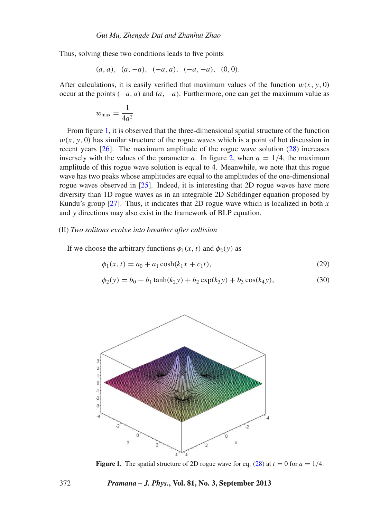Thus, solving these two conditions leads to five points

$$
(a, a), (a, -a), (-a, a), (-a, -a), (0, 0).
$$

After calculations, it is easily verified that maximum values of the function  $w(x, y, 0)$ occur at the points (−*a*, *a*) and (*a*, −*a*). Furthermore, one can get the maximum value as

$$
w_{\text{max}} = \frac{1}{4a^2}.
$$

From figure [1,](#page-5-0) it is observed that the three-dimensional spatial structure of the function  $w(x, y, 0)$  has similar structure of the rogue waves which is a point of hot discussion in recent years [\[26\]](#page-9-15). The maximum amplitude of the rogue wave solution [\(28\)](#page-4-2) increases inversely with the values of the parameter *a*. In figure [2,](#page-6-0) when  $a = 1/4$ , the maximum amplitude of this rogue wave solution is equal to 4. Meanwhile, we note that this rogue wave has two peaks whose amplitudes are equal to the amplitudes of the one-dimensional rogue waves observed in [\[25\]](#page-9-7). Indeed, it is interesting that 2D rogue waves have more diversity than 1D rogue waves as in an integrable 2D Schödinger equation proposed by Kundu's group [\[27](#page-9-8)]. Thus, it indicates that 2D rogue wave which is localized in both *x* and *y* directions may also exist in the framework of BLP equation.

#### (II) *Two solitons e*v*ol*v*e into breather after collision*

If we choose the arbitrary functions  $\phi_1(x, t)$  and  $\phi_2(y)$  as

<span id="page-5-1"></span>
$$
\phi_1(x,t) = a_0 + a_1 \cosh(k_1 x + c_1 t),\tag{29}
$$

$$
\phi_2(y) = b_0 + b_1 \tanh(k_2 y) + b_2 \exp(k_3 y) + b_3 \cos(k_4 y),\tag{30}
$$

<span id="page-5-0"></span>

**Figure 1.** The spatial structure of 2D rogue wave for eq. [\(28\)](#page-4-2) at  $t = 0$  for  $a = 1/4$ .

#### 372 *Pramana – J. Phys.***, Vol. 81, No. 3, September 2013**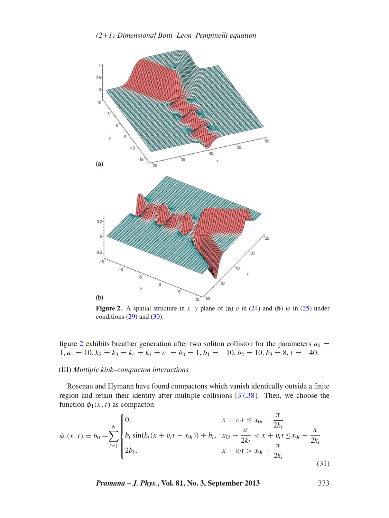<span id="page-6-0"></span>

**Figure 2.** A spatial structure in  $x-y$  plane of (a) v in [\(24\)](#page-4-3) and (b) w in [\(25\)](#page-4-1) under conditions  $(29)$  and  $(30)$ .

figure [2](#page-6-0) exhibits breather generation after two soliton collision for the parameters  $a_0 =$  $1, a_1 = 10, k_2 = k_3 = k_4 = k_1 = c_1 = b_0 = 1, b_1 = -10, b_2 = 10, b_3 = 8, t = -40.$ 

#### (III) *Multiple kink–compacton interactions*

Rosenau and Hymann have found compactons which vanish identically outside a finite region and retain their identity after multiple collisions [\[37](#page-9-16)[,38\]](#page-9-17). Then, we choose the function  $\phi_1(x, t)$  as compacton

<span id="page-6-1"></span>
$$
\phi_1(x,t) = b_0 + \sum_{i=1}^N \begin{cases} 0, & x + v_i t \le x_{0i} - \frac{\pi}{2k_i} \\ b_i \sin(k_i (x + v_i t - x_{0i})) + b_i, & x_{0i} - \frac{\pi}{2k_i} < x + v_i t \le x_{0i} + \frac{\pi}{2k_i} \\ 2b_i, & x + v_i t > x_{0i} + \frac{\pi}{2k_i} \end{cases}
$$
(31)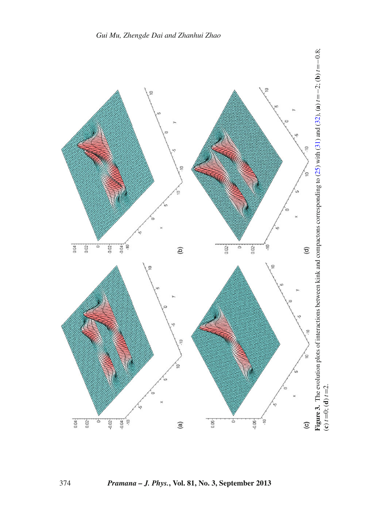

<span id="page-7-0"></span>374 *Pramana – J. Phys.***, Vol. 81, No. 3, September 2013**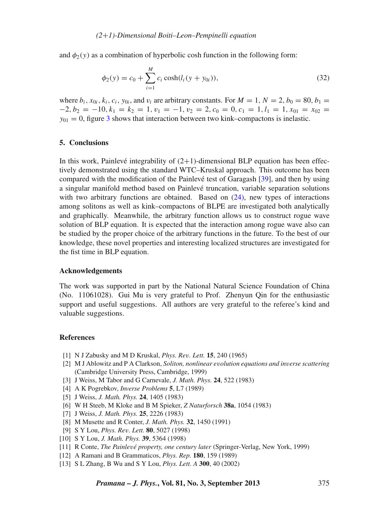and  $\phi_2(y)$  as a combination of hyperbolic cosh function in the following form:

<span id="page-8-5"></span>
$$
\phi_2(y) = c_0 + \sum_{i=1}^{M} c_i \cosh(l_i(y + y_{0i})), \tag{32}
$$

where  $b_i$ ,  $x_{0i}$ ,  $k_i$ ,  $c_i$ ,  $y_{0i}$ , and  $v_i$  are arbitrary constants. For  $M = 1$ ,  $N = 2$ ,  $b_0 = 80$ ,  $b_1 =$  $-2, b_2 = -10, k_1 = k_2 = 1, v_1 = -1, v_2 = 2, c_0 = 0, c_1 = 1, l_1 = 1, x_{01} = x_{02}$  $y_{01} = 0$ , figure [3](#page-7-0) shows that interaction between two kink–compactons is inelastic.

## <span id="page-8-4"></span>**5. Conclusions**

In this work, Painlevé integrability of  $(2+1)$ -dimensional BLP equation has been effectively demonstrated using the standard WTC–Kruskal approach. This outcome has been compared with the modification of the Painlevé test of Garagash [\[39](#page-9-13)], and then by using a singular manifold method based on Painlevé truncation, variable separation solutions with two arbitrary functions are obtained. Based on  $(24)$ , new types of interactions among solitons as well as kink–compactons of BLPE are investigated both analytically and graphically. Meanwhile, the arbitrary function allows us to construct rogue wave solution of BLP equation. It is expected that the interaction among rogue wave also can be studied by the proper choice of the arbitrary functions in the future. To the best of our knowledge, these novel properties and interesting localized structures are investigated for the fist time in BLP equation.

#### **Acknowledgements**

The work was supported in part by the National Natural Science Foundation of China (No. 11061028). Gui Mu is very grateful to Prof. Zhenyun Qin for the enthusiastic support and useful suggestions. All authors are very grateful to the referee's kind and valuable suggestions.

## **References**

- <span id="page-8-0"></span>[1] N J Zabusky and M D Kruskal, *Phys. Re*v*. Lett.* **15**, 240 (1965)
- <span id="page-8-1"></span>[2] M J Ablowitz and P A Clarkson, *Soliton, nonlinear e*v*olution equations and in*v*erse scattering* (Cambridge University Press, Cambridge, 1999)
- [3] J Weiss, M Tabor and G Carnevale, *J. Math. Phys.* **24**, 522 (1983)
- <span id="page-8-2"></span>[4] A K Pogrebkov, *Inverse Problems* **5**, L7 (1989)
- [5] J Weiss, *J. Math. Phys.* **24**, 1405 (1983)
- [6] W H Steeb, M Kloke and B M Spieker, *Z Naturforsch* **38a**, 1054 (1983)
- <span id="page-8-3"></span>[7] J Weiss, *J. Math. Phys.* **25**, 2226 (1983)
- [8] M Musette and R Conter, *J. Math. Phys.* **32**, 1450 (1991)
- [9] S Y Lou, *Phys. Re*v*. Lett.* **80**, 5027 (1998)
- [10] S Y Lou, *J. Math. Phys.* **39**, 5364 (1998)
- [11] R Conte, *The Painle*v*é property, one century later* (Springer-Verlag, New York, 1999)
- [12] A Ramani and B Grammaticos, *Phys. Rep.* **180**, 159 (1989)
- [13] S L Zhang, B Wu and S Y Lou, *Phys. Lett. A* **300**, 40 (2002)